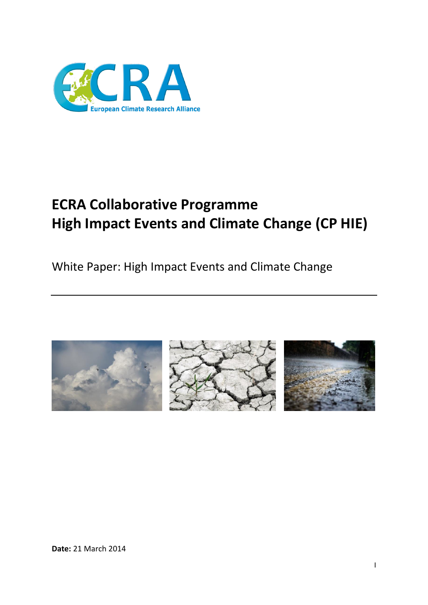

# **ECRA Collaborative Programme High Impact Events and Climate Change (CP HIE)**

White Paper: High Impact Events and Climate Change





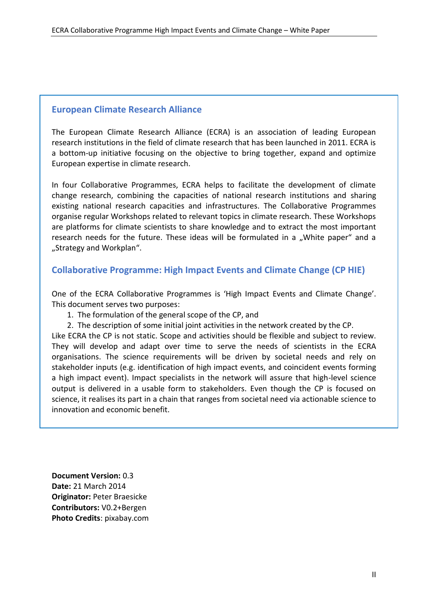### <span id="page-1-0"></span>**European Climate Research Alliance**

The European Climate Research Alliance (ECRA) is an association of leading European research institutions in the field of climate research that has been launched in 2011. ECRA is a bottom-up initiative focusing on the objective to bring together, expand and optimize European expertise in climate research.

In four Collaborative Programmes, ECRA helps to facilitate the development of climate change research, combining the capacities of national research institutions and sharing existing national research capacities and infrastructures. The Collaborative Programmes organise regular Workshops related to relevant topics in climate research. These Workshops are platforms for climate scientists to share knowledge and to extract the most important research needs for the future. These ideas will be formulated in a "White paper" and a "Strategy and Workplan".

### <span id="page-1-1"></span>**Collaborative Programme: High Impact Events and Climate Change (CP HIE)**

One of the ECRA Collaborative Programmes is 'High Impact Events and Climate Change'. This document serves two purposes:

- 1. The formulation of the general scope of the CP, and
- 2. The description of some initial joint activities in the network created by the CP.

Like ECRA the CP is not static. Scope and activities should be flexible and subject to review. They will develop and adapt over time to serve the needs of scientists in the ECRA organisations. The science requirements will be driven by societal needs and rely on stakeholder inputs (e.g. identification of high impact events, and coincident events forming a high impact event). Impact specialists in the network will assure that high-level science output is delivered in a usable form to stakeholders. Even though the CP is focused on science, it realises its part in a chain that ranges from societal need via actionable science to innovation and economic benefit.

**Document Version:** 0.3 **Date:** 21 March 2014 **Originator:** Peter Braesicke **Contributors:** V0.2+Bergen **Photo Credits**: pixabay.com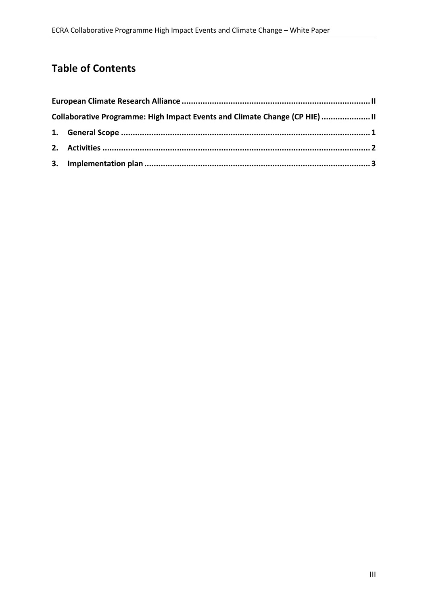# **Table of Contents**

| Collaborative Programme: High Impact Events and Climate Change (CP HIE)  II |  |
|-----------------------------------------------------------------------------|--|
|                                                                             |  |
|                                                                             |  |
|                                                                             |  |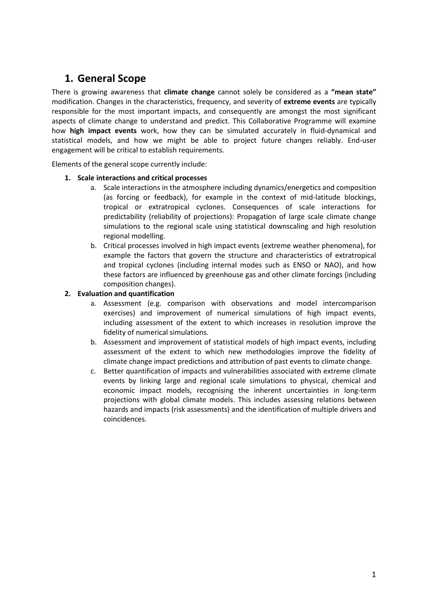# <span id="page-3-0"></span>**1. General Scope**

There is growing awareness that **climate change** cannot solely be considered as a **"mean state"**  modification. Changes in the characteristics, frequency, and severity of **extreme events** are typically responsible for the most important impacts, and consequently are amongst the most significant aspects of climate change to understand and predict. This Collaborative Programme will examine how **high impact events** work, how they can be simulated accurately in fluid-dynamical and statistical models, and how we might be able to project future changes reliably. End-user engagement will be critical to establish requirements.

Elements of the general scope currently include:

#### **1. Scale interactions and critical processes**

- a. Scale interactions in the atmosphere including dynamics/energetics and composition (as forcing or feedback), for example in the context of mid-latitude blockings, tropical or extratropical cyclones. Consequences of scale interactions for predictability (reliability of projections): Propagation of large scale climate change simulations to the regional scale using statistical downscaling and high resolution regional modelling.
- b. Critical processes involved in high impact events (extreme weather phenomena), for example the factors that govern the structure and characteristics of extratropical and tropical cyclones (including internal modes such as ENSO or NAO), and how these factors are influenced by greenhouse gas and other climate forcings (including composition changes).

#### **2. Evaluation and quantification**

- a. Assessment (e.g. comparison with observations and model intercomparison exercises) and improvement of numerical simulations of high impact events, including assessment of the extent to which increases in resolution improve the fidelity of numerical simulations.
- b. Assessment and improvement of statistical models of high impact events, including assessment of the extent to which new methodologies improve the fidelity of climate change impact predictions and attribution of past events to climate change.
- c. Better quantification of impacts and vulnerabilities associated with extreme climate events by linking large and regional scale simulations to physical, chemical and economic impact models, recognising the inherent uncertainties in long-term projections with global climate models. This includes assessing relations between hazards and impacts (risk assessments) and the identification of multiple drivers and coincidences.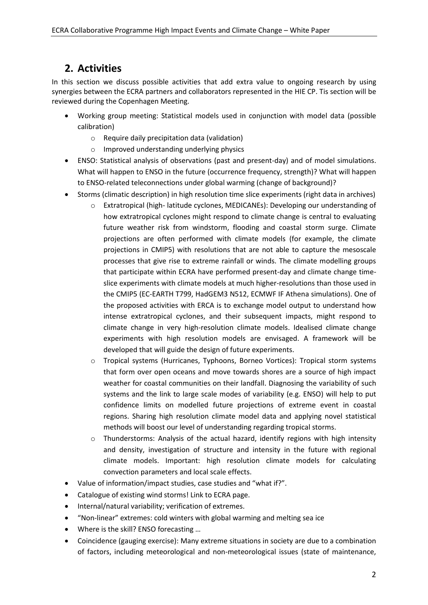# <span id="page-4-0"></span>**2. Activities**

In this section we discuss possible activities that add extra value to ongoing research by using synergies between the ECRA partners and collaborators represented in the HIE CP. Tis section will be reviewed during the Copenhagen Meeting.

- Working group meeting: Statistical models used in conjunction with model data (possible calibration)
	- o Require daily precipitation data (validation)
	- o Improved understanding underlying physics
- ENSO: Statistical analysis of observations (past and present-day) and of model simulations. What will happen to ENSO in the future (occurrence frequency, strength)? What will happen to ENSO-related teleconnections under global warming (change of background)?
- Storms (climatic description) in high resolution time slice experiments (right data in archives)
	- o Extratropical (high- latitude cyclones, MEDICANEs): Developing our understanding of how extratropical cyclones might respond to climate change is central to evaluating future weather risk from windstorm, flooding and coastal storm surge. Climate projections are often performed with climate models (for example, the climate projections in CMIP5) with resolutions that are not able to capture the mesoscale processes that give rise to extreme rainfall or winds. The climate modelling groups that participate within ECRA have performed present-day and climate change timeslice experiments with climate models at much higher-resolutions than those used in the CMIP5 (EC-EARTH T799, HadGEM3 N512, ECMWF IF Athena simulations). One of the proposed activities with ERCA is to exchange model output to understand how intense extratropical cyclones, and their subsequent impacts, might respond to climate change in very high-resolution climate models. Idealised climate change experiments with high resolution models are envisaged. A framework will be developed that will guide the design of future experiments.
	- o Tropical systems (Hurricanes, Typhoons, Borneo Vortices): Tropical storm systems that form over open oceans and move towards shores are a source of high impact weather for coastal communities on their landfall. Diagnosing the variability of such systems and the link to large scale modes of variability (e.g. ENSO) will help to put confidence limits on modelled future projections of extreme event in coastal regions. Sharing high resolution climate model data and applying novel statistical methods will boost our level of understanding regarding tropical storms.
	- $\circ$  Thunderstorms: Analysis of the actual hazard, identify regions with high intensity and density, investigation of structure and intensity in the future with regional climate models. Important: high resolution climate models for calculating convection parameters and local scale effects.
- Value of information/impact studies, case studies and "what if?".
- Catalogue of existing wind storms! Link to ECRA page.
- Internal/natural variability; verification of extremes.
- "Non-linear" extremes: cold winters with global warming and melting sea ice
- Where is the skill? ENSO forecasting ...
- Coincidence (gauging exercise): Many extreme situations in society are due to a combination of factors, including meteorological and non-meteorological issues (state of maintenance,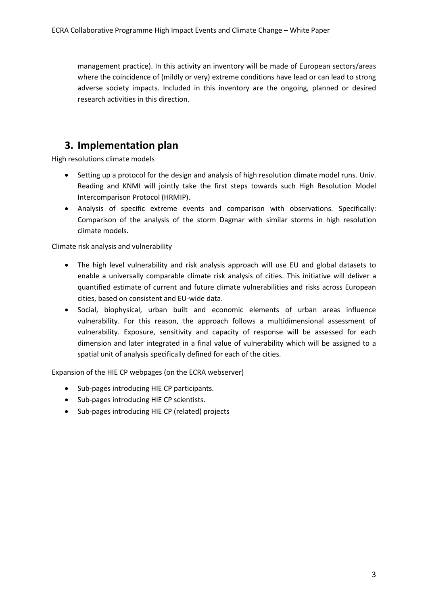management practice). In this activity an inventory will be made of European sectors/areas where the coincidence of (mildly or very) extreme conditions have lead or can lead to strong adverse society impacts. Included in this inventory are the ongoing, planned or desired research activities in this direction.

### <span id="page-5-0"></span>**3. Implementation plan**

High resolutions climate models

- Setting up a protocol for the design and analysis of high resolution climate model runs. Univ. Reading and KNMI will jointly take the first steps towards such High Resolution Model Intercomparison Protocol (HRMIP).
- Analysis of specific extreme events and comparison with observations. Specifically: Comparison of the analysis of the storm Dagmar with similar storms in high resolution climate models.

Climate risk analysis and vulnerability

- The high level vulnerability and risk analysis approach will use EU and global datasets to enable a universally comparable climate risk analysis of cities. This initiative will deliver a quantified estimate of current and future climate vulnerabilities and risks across European cities, based on consistent and EU-wide data.
- Social, biophysical, urban built and economic elements of urban areas influence vulnerability. For this reason, the approach follows a multidimensional assessment of vulnerability. Exposure, sensitivity and capacity of response will be assessed for each dimension and later integrated in a final value of vulnerability which will be assigned to a spatial unit of analysis specifically defined for each of the cities.

Expansion of the HIE CP webpages (on the ECRA webserver)

- Sub-pages introducing HIE CP participants.
- Sub-pages introducing HIE CP scientists.
- Sub-pages introducing HIE CP (related) projects